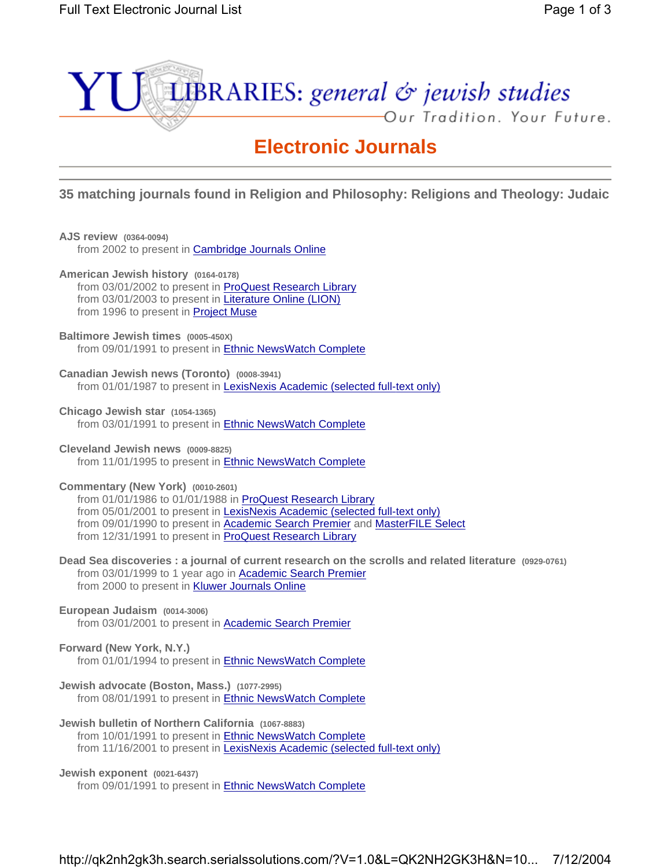

# **Electronic Journals**

**35 matching journals found in Religion and Philosophy: Religions and Theology: Judaic**

**AJS review (0364-0094) American Jewish history (0164-0178) Baltimore Jewish times (0005-450X) Canadian Jewish news (Toronto) (0008-3941) Chicago Jewish star (1054-1365) Cleveland Jewish news (0009-8825) Commentary (New York) (0010-2601) Dead Sea discoveries : a journal of current research on the scrolls and related literature (0929-0761) European Judaism (0014-3006) Forward (New York, N.Y.) Jewish advocate (Boston, Mass.) (1077-2995) Jewish bulletin of Northern California (1067-8883) Jewish exponent (0021-6437)** from 2002 to present in **Cambridge Journals Online** from 03/01/2002 to present in ProQuest Research Library from 03/01/2003 to present in Literature Online (LION) from 1996 to present in Project Muse from 09/01/1991 to present in Ethnic NewsWatch Complete from 01/01/1987 to present in LexisNexis Academic (selected full-text only) from 03/01/1991 to present in Ethnic NewsWatch Complete from 11/01/1995 to present in Ethnic NewsWatch Complete from 01/01/1986 to 01/01/1988 in ProQuest Research Library from 05/01/2001 to present in LexisNexis Academic (selected full-text only) from 09/01/1990 to present in **Academic Search Premier** and **MasterFILE** Select from 12/31/1991 to present in ProQuest Research Library from 03/01/1999 to 1 year ago in Academic Search Premier from 2000 to present in **Kluwer Journals Online**  from 03/01/2001 to present in Academic Search Premier from 01/01/1994 to present in **Ethnic NewsWatch Complete**  from 08/01/1991 to present in Ethnic NewsWatch Complete from 10/01/1991 to present in **Ethnic NewsWatch Complete** from 11/16/2001 to present in LexisNexis Academic (selected full-text only)

from 09/01/1991 to present in Ethnic NewsWatch Complete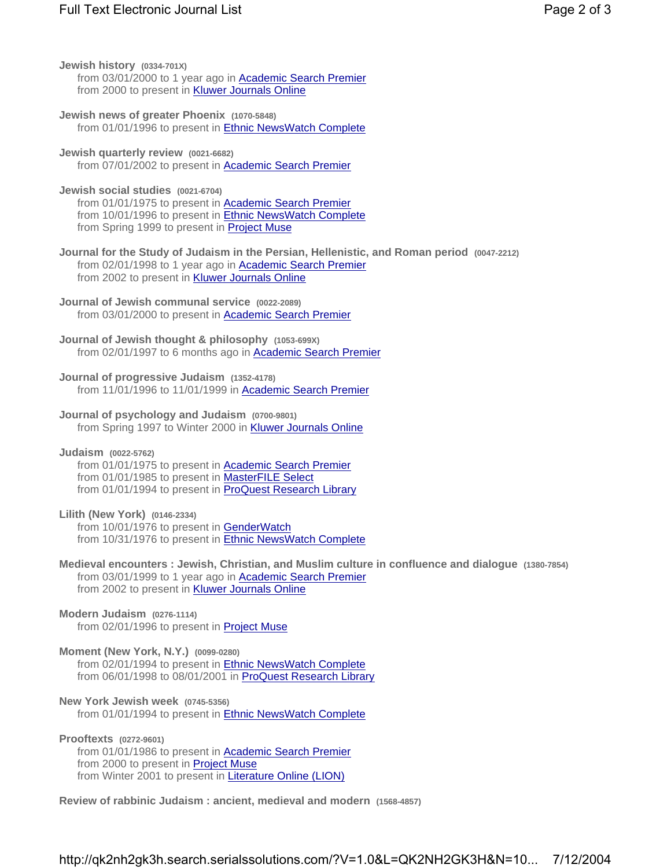- **Jewish history (0334-701X)** from 03/01/2000 to 1 year ago in **Academic Search Premier** from 2000 to present in **Kluwer Journals Online**
- **Jewish news of greater Phoenix (1070-5848)** from 01/01/1996 to present in Ethnic NewsWatch Complete
- **Jewish quarterly review (0021-6682)** from 07/01/2002 to present in Academic Search Premier
- **Jewish social studies (0021-6704)** from 01/01/1975 to present in **Academic Search Premier** from 10/01/1996 to present in **Ethnic NewsWatch Complete** from Spring 1999 to present in **Project Muse**
- **Journal for the Study of Judaism in the Persian, Hellenistic, and Roman period (0047-2212)** from 02/01/1998 to 1 year ago in **Academic Search Premier** from 2002 to present in **Kluwer Journals Online**
- **Journal of Jewish communal service (0022-2089)** from 03/01/2000 to present in Academic Search Premier
- **Journal of Jewish thought & philosophy (1053-699X)** from 02/01/1997 to 6 months ago in Academic Search Premier
- **Journal of progressive Judaism (1352-4178)** from 11/01/1996 to 11/01/1999 in Academic Search Premier
- **Journal of psychology and Judaism (0700-9801)** from Spring 1997 to Winter 2000 in Kluwer Journals Online
- **Judaism (0022-5762)** from 01/01/1975 to present in **Academic Search Premier** 
	- from 01/01/1985 to present in MasterFILE Select from 01/01/1994 to present in ProQuest Research Library
- **Lilith (New York) (0146-2334)**

from 10/01/1976 to present in GenderWatch from 10/31/1976 to present in **Ethnic NewsWatch Complete** 

- **Medieval encounters : Jewish, Christian, and Muslim culture in confluence and dialogue (1380-7854)** from 03/01/1999 to 1 year ago in **Academic Search Premier** from 2002 to present in **Kluwer Journals Online**
- **Modern Judaism (0276-1114)** from 02/01/1996 to present in Project Muse
- **Moment (New York, N.Y.) (0099-0280)**
	- from 02/01/1994 to present in Ethnic NewsWatch Complete from 06/01/1998 to 08/01/2001 in ProQuest Research Library
- **New York Jewish week (0745-5356)** from 01/01/1994 to present in Ethnic NewsWatch Complete
- **Prooftexts (0272-9601)** from 01/01/1986 to present in Academic Search Premier from 2000 to present in **Project Muse** from Winter 2001 to present in Literature Online (LION)
- **Review of rabbinic Judaism : ancient, medieval and modern (1568-4857)**